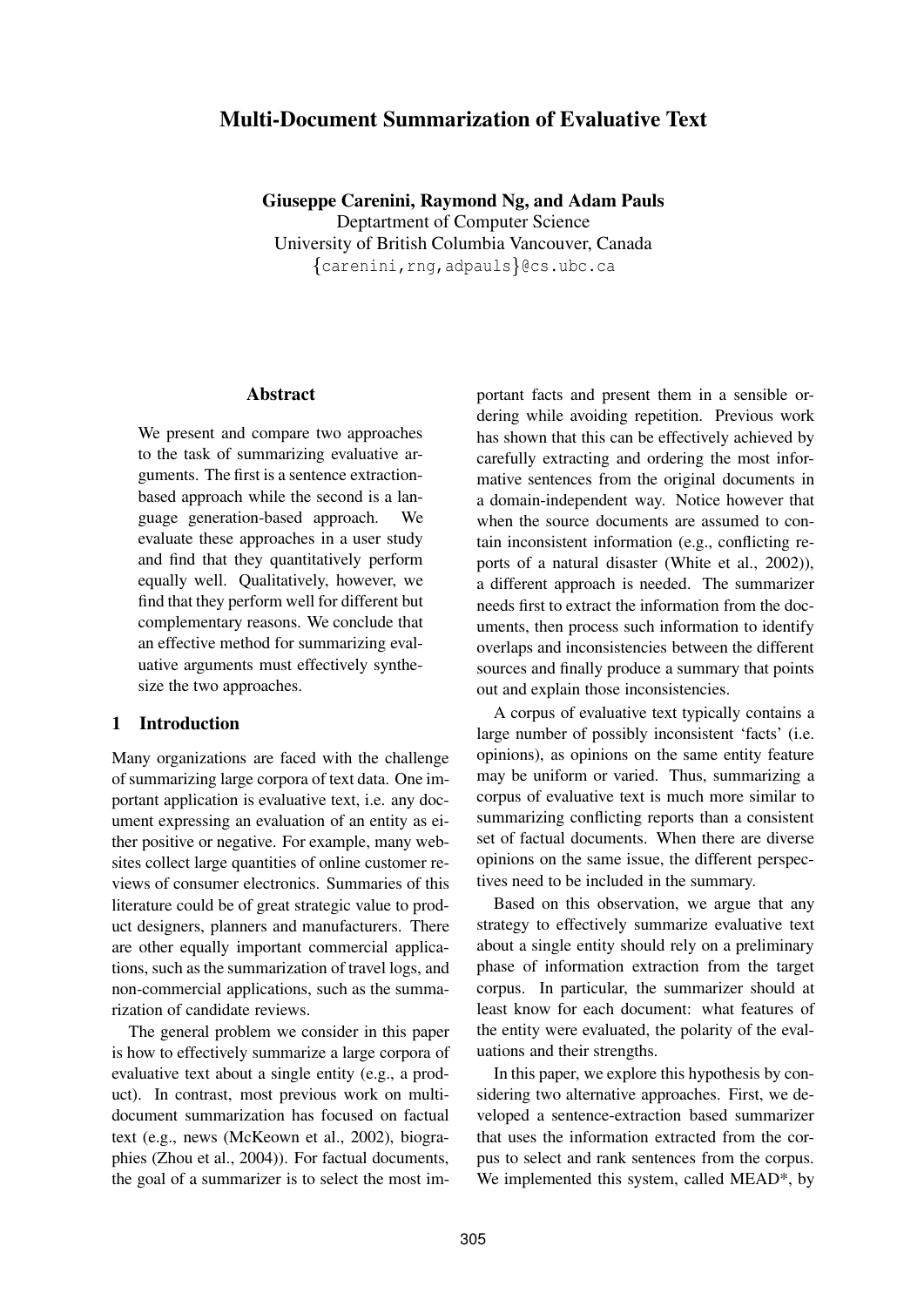# **Multi-Document Summarization of Evaluative Text**

**Giuseppe Carenini, Raymond Ng, and Adam Pauls** Deptartment of Computer Science University of British Columbia Vancouver, Canada  ${carenini, rng, adpauls}$  @cs.ubc.ca

#### **Abstract**

We present and compare two approaches to the task of summarizing evaluative arguments. The first is a sentence extractionbased approach while the second is a language generation-based approach. We evaluate these approaches in a user study and find that they quantitatively perform equally well. Qualitatively, however, we find that they perform well for different but complementary reasons. We conclude that an effective method for summarizing evaluative arguments must effectively synthesize the two approaches.

### **1 Introduction**

Many organizations are faced with the challenge of summarizing large corpora of text data. One important application is evaluative text, i.e. any document expressing an evaluation of an entity as either positive or negative. For example, many websites collect large quantities of online customer reviews of consumer electronics. Summaries of this literature could be of great strategic value to product designers, planners and manufacturers. There are other equally important commercial applications, such as the summarization of travel logs, and non-commercial applications, such as the summarization of candidate reviews.

The general problem we consider in this paper is how to effectively summarize a large corpora of evaluative text about a single entity (e.g., a product). In contrast, most previous work on multidocument summarization has focused on factual text (e.g., news (McKeown et al., 2002), biographies (Zhou et al., 2004)). For factual documents, the goal of a summarizer is to select the most important facts and present them in a sensible ordering while avoiding repetition. Previous work has shown that this can be effectively achieved by carefully extracting and ordering the most informative sentences from the original documents in a domain-independent way. Notice however that when the source documents are assumed to contain inconsistent information (e.g., conflicting reports of a natural disaster (White et al., 2002)), a different approach is needed. The summarizer needs first to extract the information from the documents, then process such information to identify overlaps and inconsistencies between the different sources and finally produce a summary that points out and explain those inconsistencies.

A corpus of evaluative text typically contains a large number of possibly inconsistent 'facts' (i.e. opinions), as opinions on the same entity feature may be uniform or varied. Thus, summarizing a corpus of evaluative text is much more similar to summarizing conflicting reports than a consistent set of factual documents. When there are diverse opinions on the same issue, the different perspectives need to be included in the summary.

Based on this observation, we argue that any strategy to effectively summarize evaluative text about a single entity should rely on a preliminary phase of information extraction from the target corpus. In particular, the summarizer should at least know for each document: what features of the entity were evaluated, the polarity of the evaluations and their strengths.

In this paper, we explore this hypothesis by considering two alternative approaches. First, we developed a sentence-extraction based summarizer that uses the information extracted from the corpus to select and rank sentences from the corpus. We implemented this system, called MEAD\*, by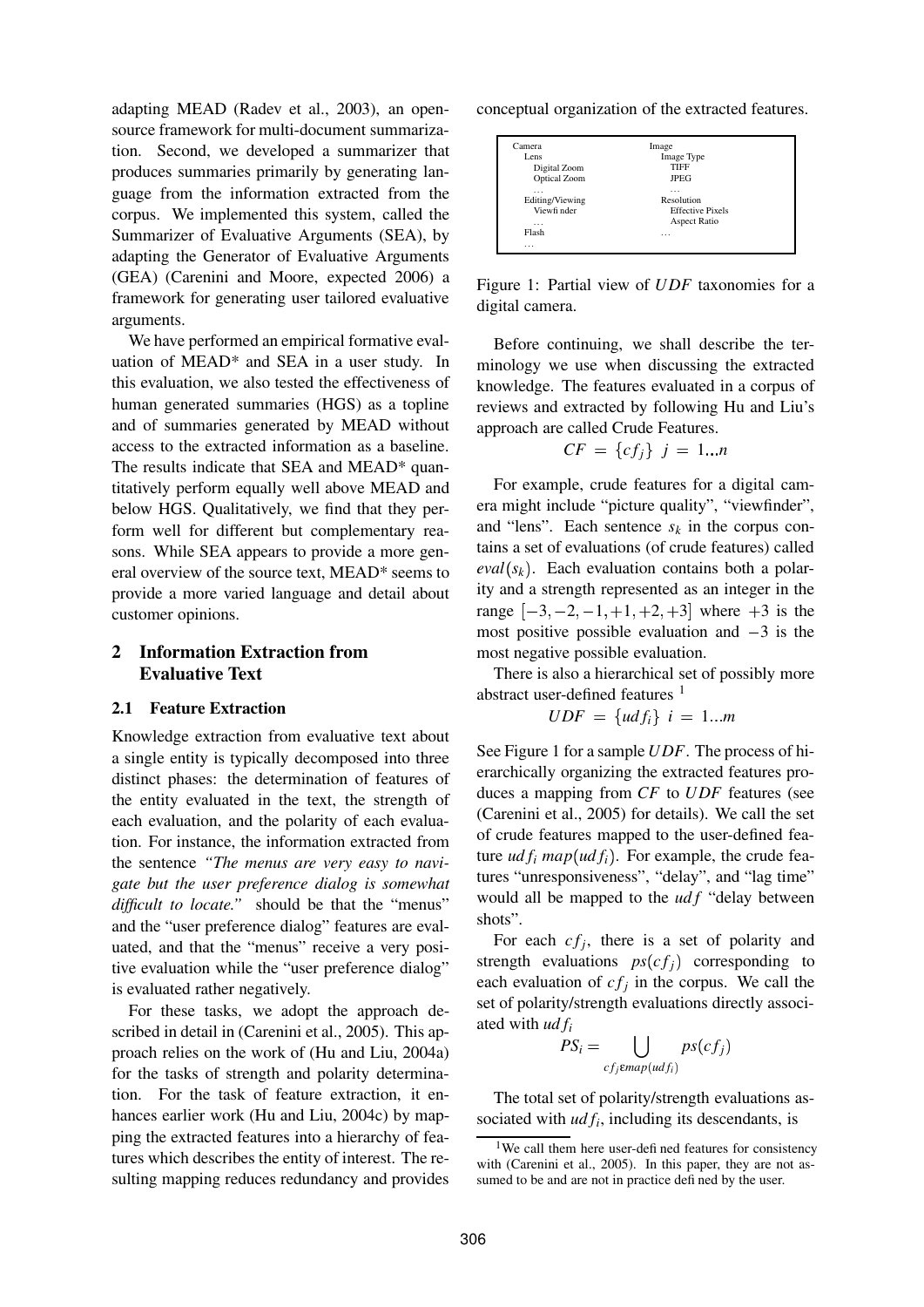adapting MEAD (Radev et al., 2003), an opensource framework for multi-document summarization. Second, we developed a summarizer that produces summaries primarily by generating language from the information extracted from the corpus. We implemented this system, called the Summarizer of Evaluative Arguments (SEA), by adapting the Generator of Evaluative Arguments (GEA) (Carenini and Moore, expected 2006) a framework for generating user tailored evaluative arguments.

We have performed an empirical formative evaluation of MEAD\* and SEA in a user study. In this evaluation, we also tested the effectiveness of human generated summaries (HGS) as a topline and of summaries generated by MEAD without access to the extracted information as a baseline. The results indicate that SEA and MEAD\* quantitatively perform equally well above MEAD and below HGS. Qualitatively, we find that they perform well for different but complementary reasons. While SEA appears to provide a more general overview of the source text, MEAD\* seems to provide a more varied language and detail about customer opinions.

### **2 Information Extraction from Evaluative Text**

#### **2.1 Feature Extraction**

Knowledge extraction from evaluative text about a single entity is typically decomposed into three distinct phases: the determination of features of the entity evaluated in the text, the strength of each evaluation, and the polarity of each evaluation. For instance, the information extracted from the sentence *"The menus are very easy to navigate but the user preference dialog is somewhat difficult to locate."* should be that the "menus" and the "user preference dialog" features are evaluated, and that the "menus" receive a very positive evaluation while the "user preference dialog" is evaluated rather negatively.

For these tasks, we adopt the approach described in detail in (Carenini et al., 2005). This approach relies on the work of (Hu and Liu, 2004a) for the tasks of strength and polarity determination. For the task of feature extraction, it enhances earlier work (Hu and Liu, 2004c) by mapping the extracted features into a hierarchy of features which describes the entity of interest. The resulting mapping reduces redundancy and provides conceptual organization of the extracted features.

| Camera          | Image                   |  |
|-----------------|-------------------------|--|
| Lens            | Image Type              |  |
| Digital Zoom    | <b>TIFF</b>             |  |
| Optical Zoom    | JPEG                    |  |
| .               | $\cdots$                |  |
| Editing/Viewing | Resolution              |  |
| Viewfi nder     | <b>Effective Pixels</b> |  |
| $\cdots$        | Aspect Ratio            |  |
| Flash           | $\cdots$                |  |
| .               |                         |  |

Figure 1: Partial view of *UDF* taxonomies for a digital camera.

Before continuing, we shall describe the terminology we use when discussing the extracted knowledge. The features evaluated in a corpus of reviews and extracted by following Hu and Liu's approach are called Crude Features.

$$
CF = \{cf_j\} \quad j = 1...n
$$

For example, crude features for a digital camera might include "picture quality", "viewfinder", and "lens". Each sentence  $s_k$  in the corpus contains a set of evaluations (of crude features) called  $eval(s_k)$ . Each evaluation contains both a polarity and a strength represented as an integer in the range  $[-3, -2, -1, +1, +2, +3]$  where  $+3$  is the most positive possible evaluation and  $-3$  is the most negative possible evaluation.

There is also a hierarchical set of possibly more abstract user-defined features  $<sup>1</sup>$ </sup>

$$
UDF = \{udf_i\} \ i = 1...m
$$

See Figure 1 for a sample *UDF*. The process of hierarchically organizing the extracted features produces a mapping from *CF* to *UDF* features (see (Carenini et al., 2005) for details). We call the set of crude features mapped to the user-defined feature  $udf_i$   $map(udf_i)$ . For example, the crude features "unresponsiveness", "delay", and "lag time" would all be mapped to the *ud f* "delay between shots".

For each  $cf_j$ , there is a set of polarity and strength evaluations  $ps(cf_i)$  corresponding to each evaluation of  $cf_j$  in the corpus. We call the set of polarity/strength evaluations directly associated with *ud f<sup>i</sup>*

$$
PS_i = \bigcup_{cf_j \in map(udf_i)} ps(cf_j)
$$

The total set of polarity/strength evaluations associated with  $udf_i$ , including its descendants, is

<sup>&</sup>lt;sup>1</sup>We call them here user-defined features for consistency with (Carenini et al., 2005). In this paper, they are not assumed to be and are not in practice defi ned by the user.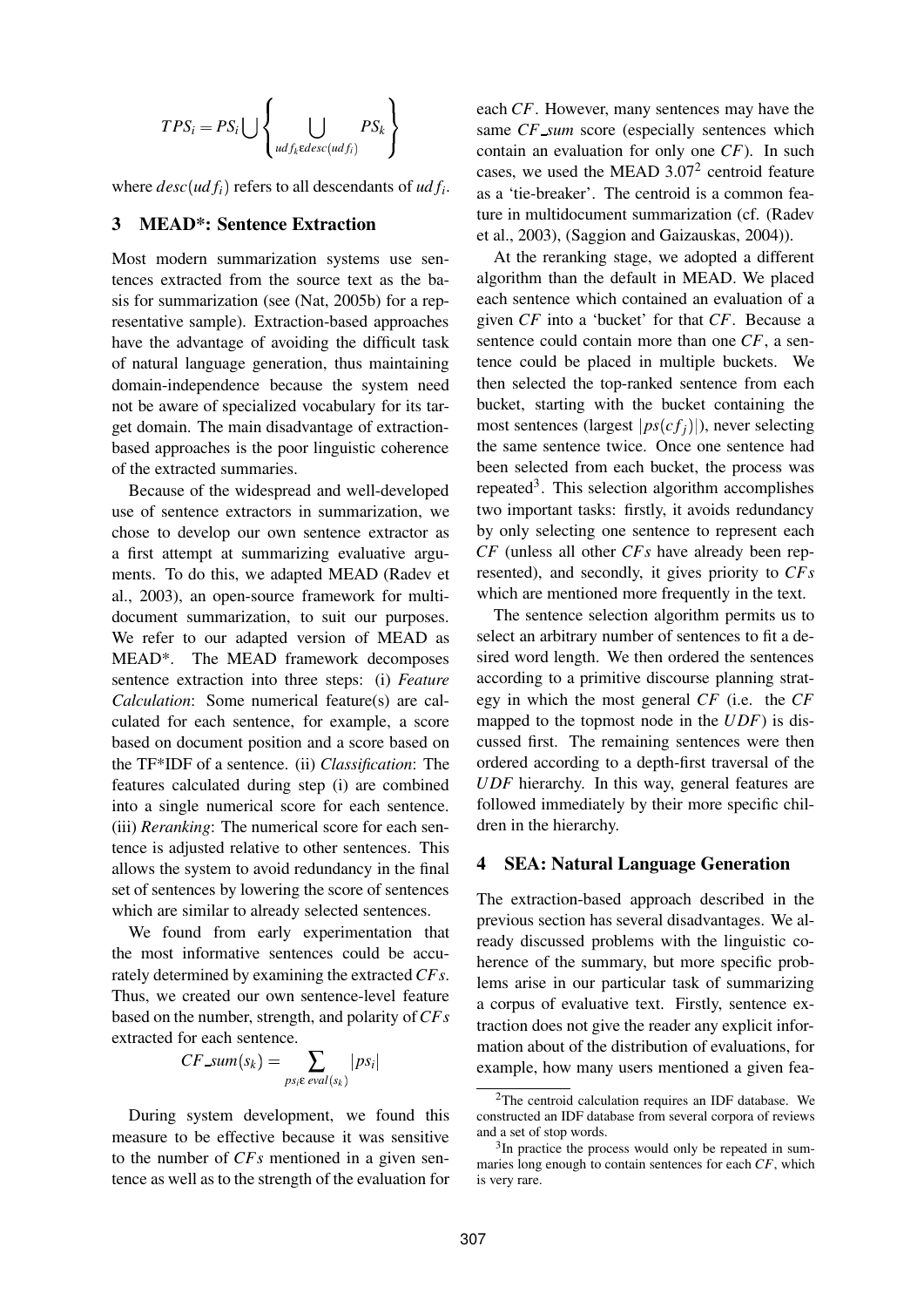$$
TPS_i = PS_i \bigcup \left\{ \bigcup_{\substack{udf_k \in desc(udf_i)}} PS_k \right\}
$$

where  $desc(udf_i)$  refers to all descendants of  $udf_i$ .

### **3 MEAD\*: Sentence Extraction**

Most modern summarization systems use sentences extracted from the source text as the basis for summarization (see (Nat, 2005b) for a representative sample). Extraction-based approaches have the advantage of avoiding the difficult task of natural language generation, thus maintaining domain-independence because the system need not be aware of specialized vocabulary for its target domain. The main disadvantage of extractionbased approaches is the poor linguistic coherence of the extracted summaries.

Because of the widespread and well-developed use of sentence extractors in summarization, we chose to develop our own sentence extractor as a first attempt at summarizing evaluative arguments. To do this, we adapted MEAD (Radev et al., 2003), an open-source framework for multidocument summarization, to suit our purposes. We refer to our adapted version of MEAD as MEAD\*. The MEAD framework decomposes sentence extraction into three steps: (i) *Feature Calculation*: Some numerical feature(s) are calculated for each sentence, for example, a score based on document position and a score based on the TF\*IDF of a sentence. (ii) *Classification*: The features calculated during step (i) are combined into a single numerical score for each sentence. (iii) *Reranking*: The numerical score for each sentence is adjusted relative to other sentences. This allows the system to avoid redundancy in the final set of sentences by lowering the score of sentences which are similar to already selected sentences.

We found from early experimentation that the most informative sentences could be accurately determined by examining the extracted *CFs*. Thus, we created our own sentence-level feature based on the number, strength, and polarity of*CFs* extracted for each sentence.

$$
CF\_sum(s_k) = \sum_{ps_i \in eval(s_k)} |ps_i|
$$

During system development, we found this measure to be effective because it was sensitive to the number of *CFs* mentioned in a given sentence as well as to the strength of the evaluation for each *CF*. However, many sentences may have the same *CF*\_sum score (especially sentences which contain an evaluation for only one *CF*). In such cases, we used the MEAD  $3.07<sup>2</sup>$  centroid feature as a 'tie-breaker'. The centroid is a common feature in multidocument summarization (cf. (Radev et al., 2003), (Saggion and Gaizauskas, 2004)).

At the reranking stage, we adopted a different algorithm than the default in MEAD. We placed each sentence which contained an evaluation of a given *CF* into a 'bucket' for that *CF*. Because a sentence could contain more than one *CF*, a sentence could be placed in multiple buckets. We then selected the top-ranked sentence from each bucket, starting with the bucket containing the most sentences (largest  $|ps(cf_j)|$ ), never selecting the same sentence twice. Once one sentence had been selected from each bucket, the process was repeated<sup>3</sup>. This selection algorithm accomplishes two important tasks: firstly, it avoids redundancy by only selecting one sentence to represent each *CF* (unless all other *CFs* have already been represented), and secondly, it gives priority to *CFs* which are mentioned more frequently in the text.

The sentence selection algorithm permits us to select an arbitrary number of sentences to fit a desired word length. We then ordered the sentences according to a primitive discourse planning strategy in which the most general *CF* (i.e. the *CF* mapped to the topmost node in the *UDF*) is discussed first. The remaining sentences were then ordered according to a depth-first traversal of the *UDF* hierarchy. In this way, general features are followed immediately by their more specific children in the hierarchy.

### **4 SEA: Natural Language Generation**

The extraction-based approach described in the previous section has several disadvantages. We already discussed problems with the linguistic coherence of the summary, but more specific problems arise in our particular task of summarizing a corpus of evaluative text. Firstly, sentence extraction does not give the reader any explicit information about of the distribution of evaluations, for example, how many users mentioned a given fea-

<sup>2</sup>The centroid calculation requires an IDF database. We constructed an IDF database from several corpora of reviews and a set of stop words.

<sup>&</sup>lt;sup>3</sup>In practice the process would only be repeated in summaries long enough to contain sentences for each *CF*, which is very rare.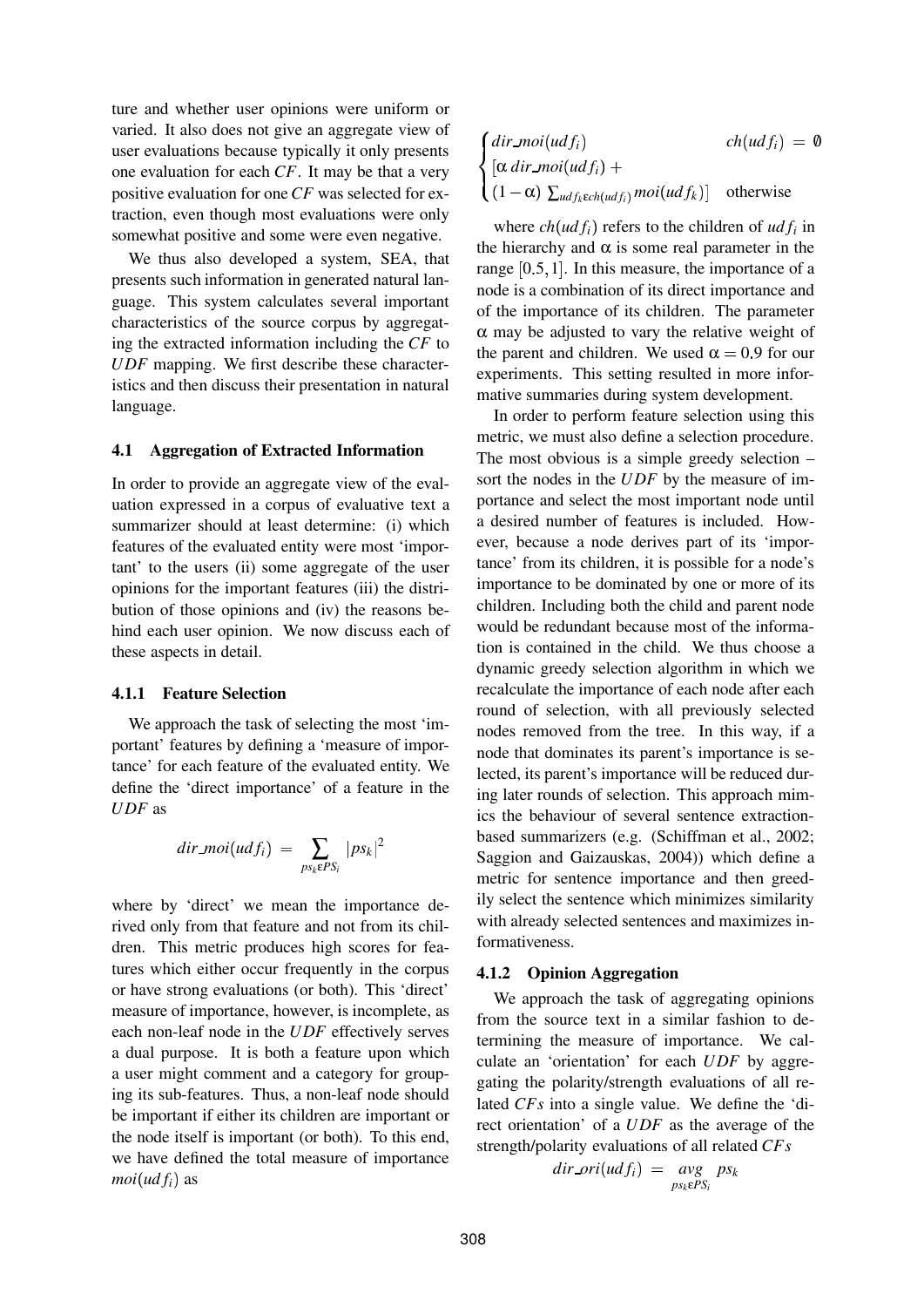ture and whether user opinions were uniform or varied. It also does not give an aggregate view of user evaluations because typically it only presents one evaluation for each *CF*. It may be that a very positive evaluation for one*CF* was selected for extraction, even though most evaluations were only somewhat positive and some were even negative.

We thus also developed a system, SEA, that presents such information in generated natural language. This system calculates several important characteristics of the source corpus by aggregating the extracted information including the *CF* to *UDF* mapping. We first describe these characteristics and then discuss their presentation in natural language.

#### **4.1 Aggregation of Extracted Information**

In order to provide an aggregate view of the evaluation expressed in a corpus of evaluative text a summarizer should at least determine: (i) which features of the evaluated entity were most 'important' to the users (ii) some aggregate of the user opinions for the important features (iii) the distribution of those opinions and (iv) the reasons behind each user opinion. We now discuss each of these aspects in detail.

#### **4.1.1 Feature Selection**

We approach the task of selecting the most 'important' features by defining a 'measure of importance' for each feature of the evaluated entity. We define the 'direct importance' of a feature in the *UDF* as

$$
dir\_moi(udf_i) = \sum_{ps_k \in PS_i} |ps_k|^2
$$

where by 'direct' we mean the importance derived only from that feature and not from its children. This metric produces high scores for features which either occur frequently in the corpus or have strong evaluations (or both). This 'direct' measure of importance, however, is incomplete, as each non-leaf node in the *UDF* effectively serves a dual purpose. It is both a feature upon which a user might comment and a category for grouping its sub-features. Thus, a non-leaf node should be important if either its children are important or the node itself is important (or both). To this end, we have defined the total measure of importance  $moi( udf<sub>i</sub> )$  as

$$
\begin{cases}\n\begin{aligned}\ndir\_mo(udf_i) & ch(udf_i) = 0 \\
[\alpha \, dir\_mo(udf_i) + \\
(1 - \alpha) \sum_{udf_k \in ch(udf_i)} moi(udf_k)] & \text{otherwise}\n\end{aligned}\n\end{cases}
$$

where  $ch(udf_i)$  refers to the children of  $udf_i$  in the hierarchy and  $\alpha$  is some real parameter in the range  $[0.5, 1]$ . In this measure, the importance of a node is a combination of its direct importance and of the importance of its children. The parameter  $\alpha$  may be adjusted to vary the relative weight of the parent and children. We used  $\alpha = 0.9$  for our experiments. This setting resulted in more informative summaries during system development.

In order to perform feature selection using this metric, we must also define a selection procedure. The most obvious is a simple greedy selection – sort the nodes in the *UDF* by the measure of importance and select the most important node until a desired number of features is included. However, because a node derives part of its 'importance' from its children, it is possible for a node's importance to be dominated by one or more of its children. Including both the child and parent node would be redundant because most of the information is contained in the child. We thus choose a dynamic greedy selection algorithm in which we recalculate the importance of each node after each round of selection, with all previously selected nodes removed from the tree. In this way, if a node that dominates its parent's importance is selected, its parent's importance will be reduced during later rounds of selection. This approach mimics the behaviour of several sentence extractionbased summarizers (e.g. (Schiffman et al., 2002; Saggion and Gaizauskas, 2004)) which define a metric for sentence importance and then greedily select the sentence which minimizes similarity with already selected sentences and maximizes informativeness.

#### **4.1.2 Opinion Aggregation**

We approach the task of aggregating opinions from the source text in a similar fashion to determining the measure of importance. We calculate an 'orientation' for each *UDF* by aggregating the polarity/strength evaluations of all related *CFs* into a single value. We define the 'direct orientation' of a *UDF* as the average of the strength/polarity evaluations of all related *CFs*

$$
dir\_ori(udf_i) = avg_{ps_k \in PS_i} ps_k
$$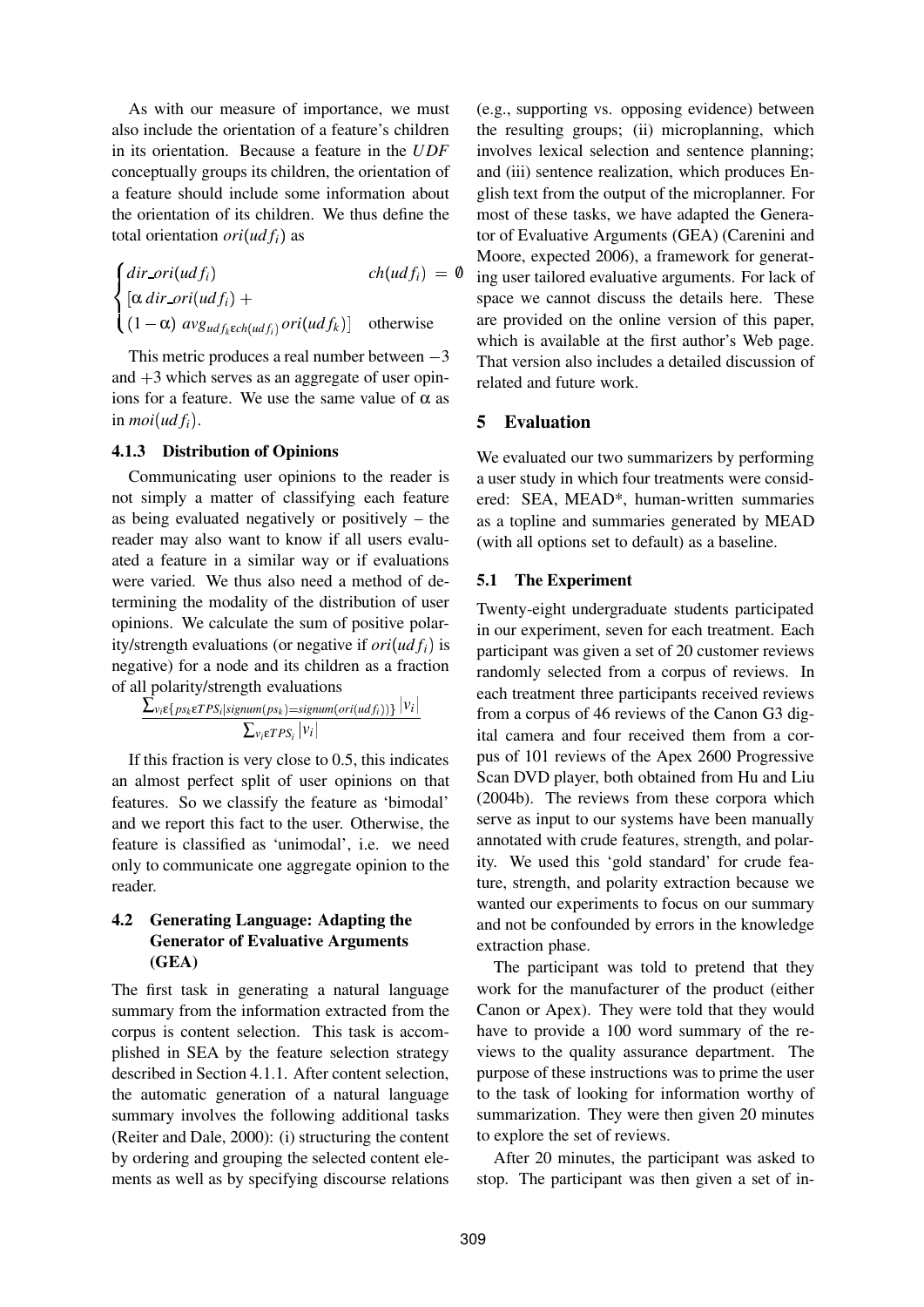As with our measure of importance, we must also include the orientation of a feature's children in its orientation. Because a feature in the *UDF* conceptually groups its children, the orientation of a feature should include some information about the orientation of its children. We thus define the total orientation *ori*  $(udf_i)$  as

$$
\begin{cases}\ndir\_ori(udf_i) & ch(udf_i) = 0 \\
[\alpha \, dir\_ori(udf_i) + (1 - \alpha) \, avg_{udf_kech(udf_i)} ori(udf_k)] & \text{otherwise}\n\end{cases}
$$

This metric produces a real number between  $-3$ and  $+3$  which serves as an aggregate of user opinions for a feature. We use the same value of  $\alpha$  as in  $\text{moi}(udf_i)$ .

#### **4.1.3 Distribution of Opinions**

Communicating user opinions to the reader is not simply a matter of classifying each feature as being evaluated negatively or positively – the reader may also want to know if all users evaluated a feature in a similar way or if evaluations were varied. We thus also need a method of determining the modality of the distribution of user opinions. We calculate the sum of positive polarity/strength evaluations (or negative if  $ori(ud f_i)$  is negative) for a node and its children as a fraction of all polarity/strength evaluations

$$
\frac{\sum_{v_i \in \{ps_k \in TPS_i | signum(ps_k) = signum(cri(ud_f))\}} |v_i|}{\sum_{v_i \in TPS_i} |v_i|}
$$

 If this fraction is very close to 0.5, this indicates an almost perfect split of user opinions on that features. So we classify the feature as 'bimodal' and we report this fact to the user. Otherwise, the feature is classified as 'unimodal', i.e. we need only to communicate one aggregate opinion to the reader.

## **4.2 Generating Language: Adapting the Generator of Evaluative Arguments (GEA)**

The first task in generating a natural language summary from the information extracted from the corpus is content selection. This task is accomplished in SEA by the feature selection strategy described in Section 4.1.1. After content selection, the automatic generation of a natural language summary involves the following additional tasks (Reiter and Dale, 2000): (i) structuring the content by ordering and grouping the selected content elements as well as by specifying discourse relations

(e.g., supporting vs. opposing evidence) between the resulting groups; (ii) microplanning, which involves lexical selection and sentence planning; and (iii) sentence realization, which produces English text from the output of the microplanner. For most of these tasks, we have adapted the Generator of Evaluative Arguments (GEA) (Carenini and Moore, expected 2006), a framework for generating user tailored evaluative arguments. For lack of space we cannot discuss the details here. These are provided on the online version of this paper, which is available at the first author's Web page. That version also includes a detailed discussion of related and future work.

### **5 Evaluation**

We evaluated our two summarizers by performing a user study in which four treatments were considered: SEA, MEAD\*, human-written summaries as a topline and summaries generated by MEAD (with all options set to default) as a baseline.

### **5.1 The Experiment**

Twenty-eight undergraduate students participated in our experiment, seven for each treatment. Each participant was given a set of 20 customer reviews randomly selected from a corpus of reviews. In each treatment three participants received reviews from a corpus of 46 reviews of the Canon G3 digital camera and four received them from a corpus of 101 reviews of the Apex 2600 Progressive Scan DVD player, both obtained from Hu and Liu (2004b). The reviews from these corpora which serve as input to our systems have been manually annotated with crude features, strength, and polarity. We used this 'gold standard' for crude feature, strength, and polarity extraction because we wanted our experiments to focus on our summary and not be confounded by errors in the knowledge extraction phase.

The participant was told to pretend that they work for the manufacturer of the product (either Canon or Apex). They were told that they would have to provide a 100 word summary of the reviews to the quality assurance department. The purpose of these instructions was to prime the user to the task of looking for information worthy of summarization. They were then given 20 minutes to explore the set of reviews.

After 20 minutes, the participant was asked to stop. The participant was then given a set of in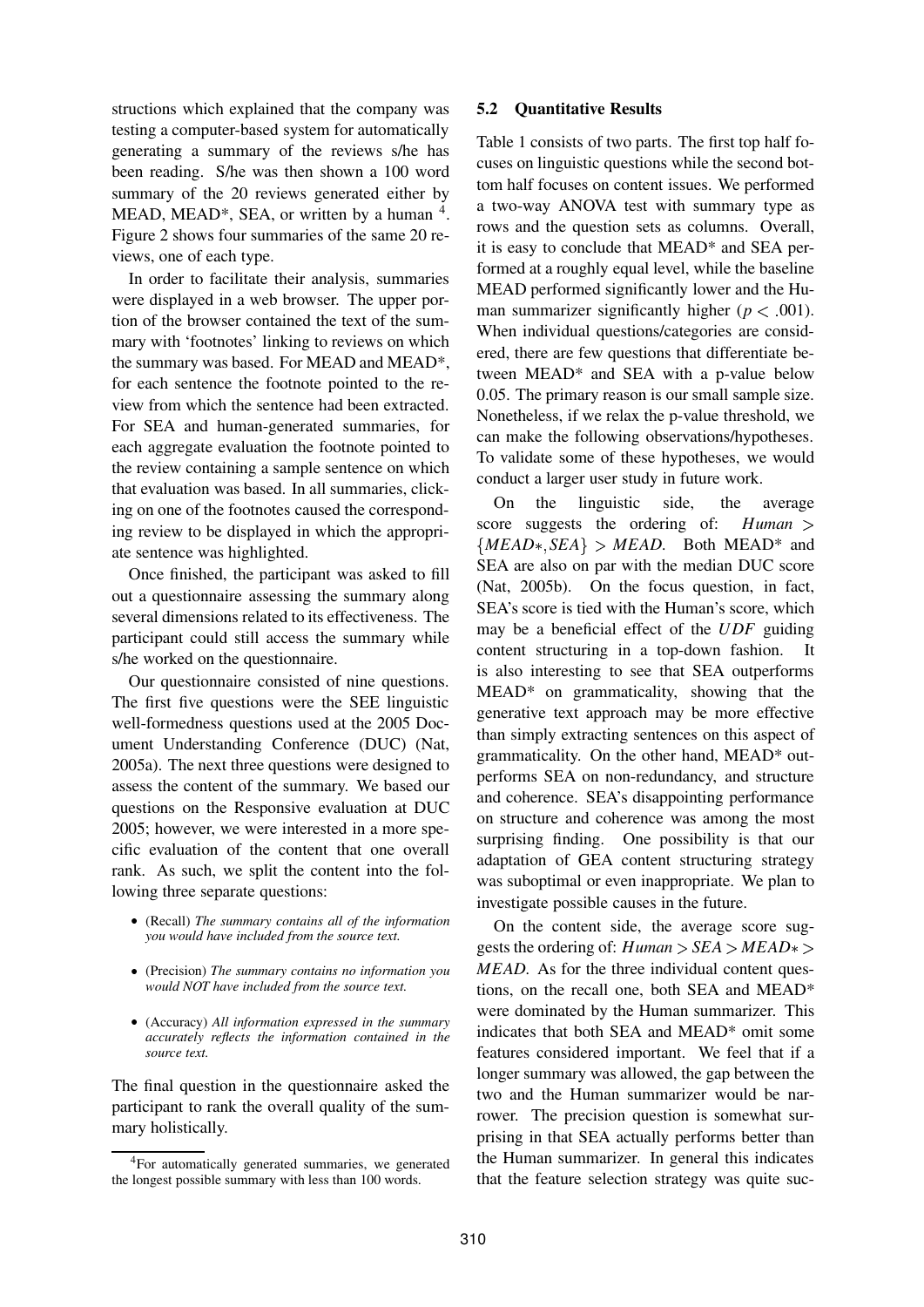structions which explained that the company was testing a computer-based system for automatically generating a summary of the reviews s/he has been reading. S/he was then shown a 100 word summary of the 20 reviews generated either by MEAD, MEAD\*, SEA, or written by a human  $4$ . Figure 2 shows four summaries of the same 20 reviews, one of each type.

In order to facilitate their analysis, summaries were displayed in a web browser. The upper portion of the browser contained the text of the summary with 'footnotes' linking to reviews on which the summary was based. For MEAD and MEAD\*, for each sentence the footnote pointed to the review from which the sentence had been extracted. For SEA and human-generated summaries, for each aggregate evaluation the footnote pointed to the review containing a sample sentence on which that evaluation was based. In all summaries, clicking on one of the footnotes caused the corresponding review to be displayed in which the appropriate sentence was highlighted.

Once finished, the participant was asked to fill out a questionnaire assessing the summary along several dimensions related to its effectiveness. The participant could still access the summary while s/he worked on the questionnaire.

Our questionnaire consisted of nine questions. The first five questions were the SEE linguistic well-formedness questions used at the 2005 Document Understanding Conference (DUC) (Nat, 2005a). The next three questions were designed to assess the content of the summary. We based our questions on the Responsive evaluation at DUC 2005; however, we were interested in a more specific evaluation of the content that one overall rank. As such, we split the content into the following three separate questions:

- (Recall) *The summary contains all of the information you would have included from the source text.*
- (Precision) *The summary contains no information you would NOT have included from the source text.*
- (Accuracy) *All information expressed in the summary accurately reflects the information contained in the source text.*

The final question in the questionnaire asked the participant to rank the overall quality of the summary holistically.

#### **5.2 Quantitative Results**

Table 1 consists of two parts. The first top half focuses on linguistic questions while the second bottom half focuses on content issues. We performed a two-way ANOVA test with summary type as rows and the question sets as columns. Overall, it is easy to conclude that MEAD\* and SEA performed at a roughly equal level, while the baseline MEAD performed significantly lower and the Human summarizer significantly higher ( $p < .001$ ). When individual questions/categories are considered, there are few questions that differentiate between MEAD\* and SEA with a p-value below 0.05. The primary reason is our small sample size. Nonetheless, if we relax the p-value threshold, we can make the following observations/hypotheses. To validate some of these hypotheses, we would conduct a larger user study in future work.

On the linguistic side, the average score suggests the ordering of:  $Human$  ${MEAD*, SEA} > MEAD$ . Both MEAD\* and SEA are also on par with the median DUC score (Nat, 2005b). On the focus question, in fact, SEA's score is tied with the Human's score, which may be a beneficial effect of the *UDF* guiding content structuring in a top-down fashion. It is also interesting to see that SEA outperforms MEAD\* on grammaticality, showing that the generative text approach may be more effective than simply extracting sentences on this aspect of grammaticality. On the other hand, MEAD\* outperforms SEA on non-redundancy, and structure and coherence. SEA's disappointing performance on structure and coherence was among the most surprising finding. One possibility is that our adaptation of GEA content structuring strategy was suboptimal or even inappropriate. We plan to investigate possible causes in the future.

On the content side, the average score suggests the ordering of:  $Human > SEA > MEAD*>$ *MEAD*. As for the three individual content questions, on the recall one, both SEA and MEAD\* were dominated by the Human summarizer. This indicates that both SEA and MEAD\* omit some features considered important. We feel that if a longer summary was allowed, the gap between the two and the Human summarizer would be narrower. The precision question is somewhat surprising in that SEA actually performs better than the Human summarizer. In general this indicates that the feature selection strategy was quite suc-

<sup>&</sup>lt;sup>4</sup>For automatically generated summaries, we generated the longest possible summary with less than 100 words.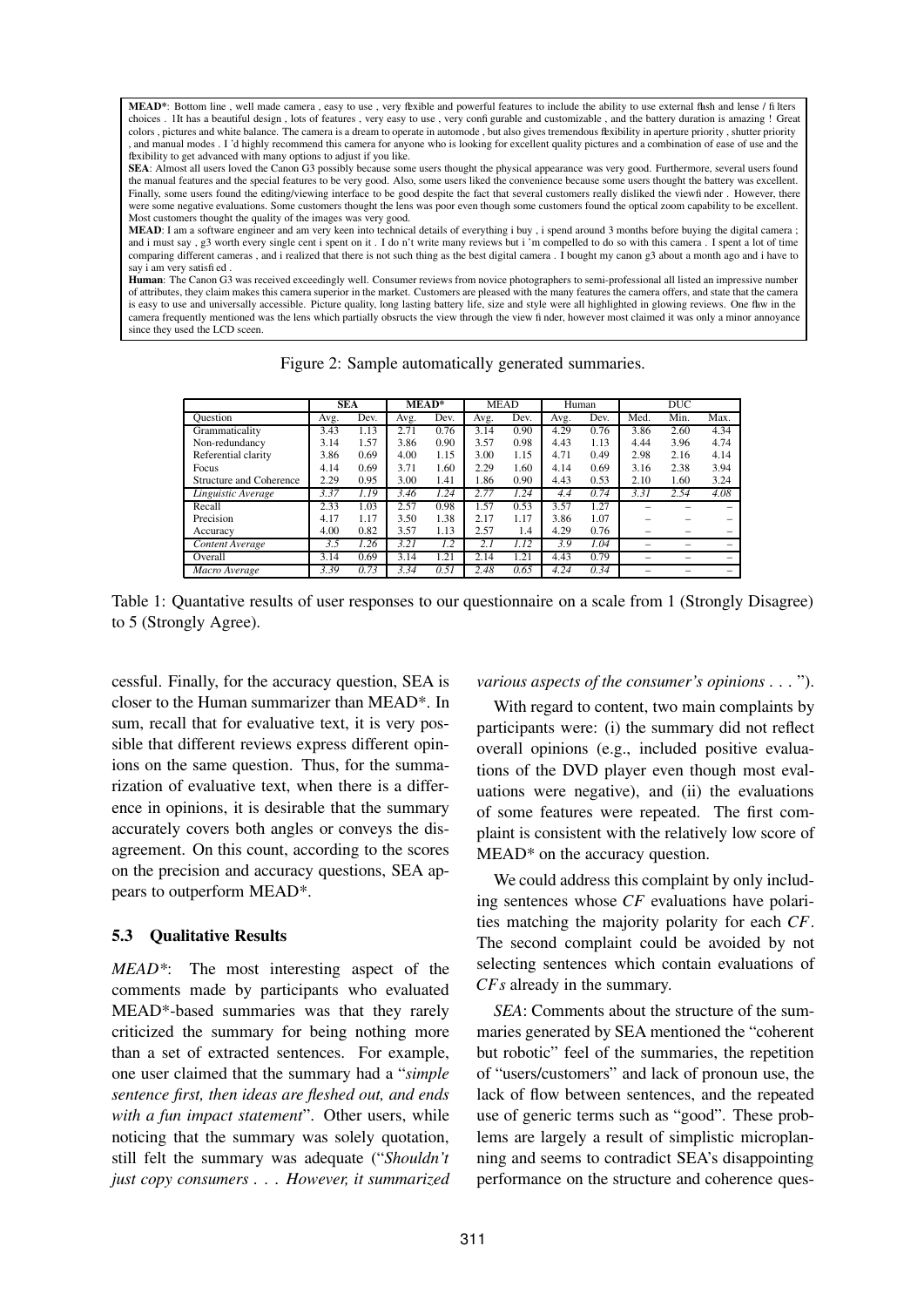**MEAD\***: Bottom line , well made camera , easy to use , very flexible and powerful features to include the ability to use external flash and lense / fi lters choices . If has a beautiful design , lots of features , very easy to use , very confi gurable and customizable , and the battery duration is amazing ! Great colors, pictures and white balance. The camera is a dream to operate in automode, but also gives tremendous fexibility in aperture priority, shutter priority , and manual modes . I 'd highly recommend this camera for anyone who is looking for excellent quality pictures and a combination of ease of use and the flexibility to get advanced with many options to adjust if you like.

**SEA**: Almost all users loved the Canon G3 possibly because some users thought the physical appearance was very good. Furthermore, several users found the manual features and the special features to be very good. Also, some users liked the convenience because some users thought the battery was excellent. Finally, some users found the editing/viewing interface to be good despite the fact that several customers really disliked the viewfi nder . However, there were some negative evaluations. Some customers thought the lens was poor even though some customers found the optical zoom capability to be excellent. Most customers thought the quality of the images was very good.

**MEAD**: I am a software engineer and am very keen into technical details of everything i buy , i spend around 3 months before buying the digital camera ; and i must say , g3 worth every single cent i spent on it . I do n't write many reviews but i 'm compelled to do so with this camera . I spent a lot of time comparing different cameras , and i realized that there is not such thing as the best digital camera . I bought my canon g3 about a month ago and i have to say i am very satisfi ed .

**Human**: The Canon G3 was received exceedingly well. Consumer reviews from novice photographers to semi-professional all listed an impressive number of attributes, they claim makes this camera superior in the market. Customers are pleased with the many features the camera offers, and state that the camera is easy to use and universally accessible. Picture quality, long lasting battery life, size and style were all highlighted in glowing reviews. One flaw in the camera frequently mentioned was the lens which partially obsructs the view through the view fi nder, however most claimed it was only a minor annoyance since they used the LCD sceen.

Figure 2: Sample automatically generated summaries.

|                         | <b>SEA</b> |      | MEAD* |      | <b>MEAD</b> |      | Human |      | <b>DUC</b> |      |      |
|-------------------------|------------|------|-------|------|-------------|------|-------|------|------------|------|------|
| Ouestion                | Avg.       | Dev. | Avg.  | Dev. | Avg.        | Dev. | Avg.  | Dev. | Med.       | Min. | Max. |
| Grammaticality          | 3.43       | 1.13 | 2.71  | 0.76 | 3.14        | 0.90 | 4.29  | 0.76 | 3.86       | 2.60 | 4.34 |
| Non-redundancy          | 3.14       | 1.57 | 3.86  | 0.90 | 3.57        | 0.98 | 4.43  | 1.13 | 4.44       | 3.96 | 4.74 |
| Referential clarity     | 3.86       | 0.69 | 4.00  | 1.15 | 3.00        | 1.15 | 4.71  | 0.49 | 2.98       | 2.16 | 4.14 |
| Focus                   | 4.14       | 0.69 | 3.71  | 1.60 | 2.29        | 1.60 | 4.14  | 0.69 | 3.16       | 2.38 | 3.94 |
| Structure and Coherence | 2.29       | 0.95 | 3.00  | 1.41 | 1.86        | 0.90 | 4.43  | 0.53 | 2.10       | 1.60 | 3.24 |
| Linguistic Average      | 3.37       | 1.19 | 3.46  | 1.24 | 2.77        | 1.24 | 4.4   | 0.74 | 3.31       | 2.54 | 4.08 |
| Recall                  | 2.33       | 1.03 | 2.57  | 0.98 | 1.57        | 0.53 | 3.57  | 1.27 |            |      |      |
| Precision               | 4.17       | 1.17 | 3.50  | 1.38 | 2.17        | 1.17 | 3.86  | 1.07 |            |      |      |
| Accuracy                | 4.00       | 0.82 | 3.57  | 1.13 | 2.57        | 1.4  | 4.29  | 0.76 | -          |      |      |
| Content Average         | 3.5        | 1.26 | 3.21  | 1.2  | 2.1         | П12  | 3.9   | 1.04 |            |      |      |
| Overall                 | 3.14       | 0.69 | 3.14  | l.21 | 2.14        | 1.21 | 4.43  | 0.79 |            |      |      |
| Macro Average           | 3.39       | 0.73 | 3.34  | 0.51 | 2.48        | 0.65 | 4.24  | 0.34 |            |      |      |

Table 1: Quantative results of user responses to our questionnaire on a scale from 1 (Strongly Disagree) to 5 (Strongly Agree).

cessful. Finally, for the accuracy question, SEA is closer to the Human summarizer than MEAD\*. In sum, recall that for evaluative text, it is very possible that different reviews express different opinions on the same question. Thus, for the summarization of evaluative text, when there is a difference in opinions, it is desirable that the summary accurately covers both angles or conveys the disagreement. On this count, according to the scores on the precision and accuracy questions, SEA appears to outperform MEAD\*.

### **5.3 Qualitative Results**

*MEAD\**: The most interesting aspect of the comments made by participants who evaluated MEAD\*-based summaries was that they rarely criticized the summary for being nothing more than a set of extracted sentences. For example, one user claimed that the summary had a "*simple sentence first, then ideas are fleshed out, and ends with a fun impact statement*". Other users, while noticing that the summary was solely quotation, still felt the summary was adequate ("*Shouldn't just copy consumers . . . However, it summarized*

#### *various aspects of the consumer's opinions* . . . ").

With regard to content, two main complaints by participants were: (i) the summary did not reflect overall opinions (e.g., included positive evaluations of the DVD player even though most evaluations were negative), and (ii) the evaluations of some features were repeated. The first complaint is consistent with the relatively low score of MEAD\* on the accuracy question.

We could address this complaint by only including sentences whose *CF* evaluations have polarities matching the majority polarity for each *CF*. The second complaint could be avoided by not selecting sentences which contain evaluations of *CFs* already in the summary.

*SEA*: Comments about the structure of the summaries generated by SEA mentioned the "coherent but robotic" feel of the summaries, the repetition of "users/customers" and lack of pronoun use, the lack of flow between sentences, and the repeated use of generic terms such as "good". These problems are largely a result of simplistic microplanning and seems to contradict SEA's disappointing performance on the structure and coherence ques